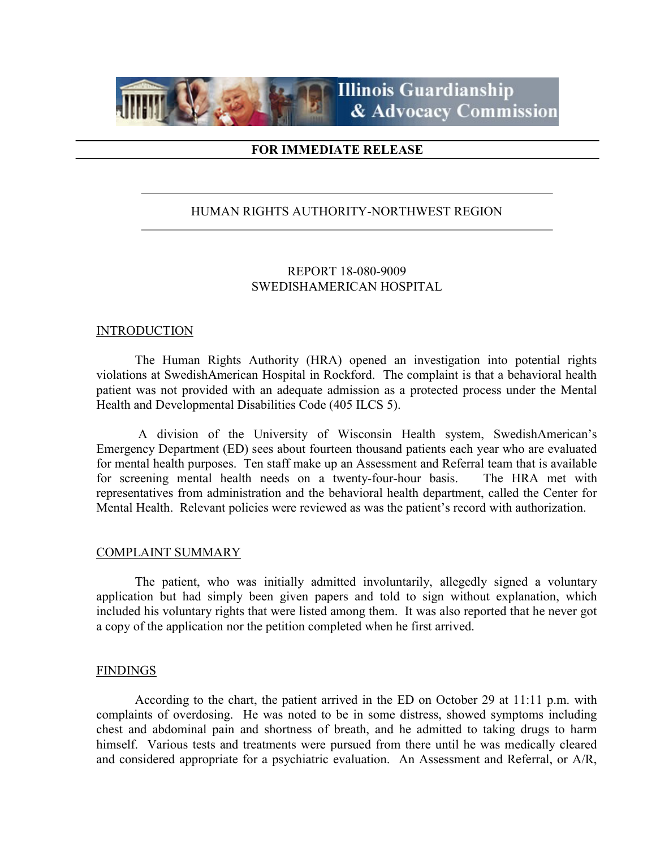

## FOR IMMEDIATE RELEASE

# HUMAN RIGHTS AUTHORITY-NORTHWEST REGION

# REPORT 18-080-9009 SWEDISHAMERICAN HOSPITAL

## INTRODUCTION

 The Human Rights Authority (HRA) opened an investigation into potential rights violations at SwedishAmerican Hospital in Rockford. The complaint is that a behavioral health patient was not provided with an adequate admission as a protected process under the Mental Health and Developmental Disabilities Code (405 ILCS 5).

 A division of the University of Wisconsin Health system, SwedishAmerican's Emergency Department (ED) sees about fourteen thousand patients each year who are evaluated for mental health purposes. Ten staff make up an Assessment and Referral team that is available for screening mental health needs on a twenty-four-hour basis. The HRA met with representatives from administration and the behavioral health department, called the Center for Mental Health. Relevant policies were reviewed as was the patient's record with authorization.

#### COMPLAINT SUMMARY

 The patient, who was initially admitted involuntarily, allegedly signed a voluntary application but had simply been given papers and told to sign without explanation, which included his voluntary rights that were listed among them. It was also reported that he never got a copy of the application nor the petition completed when he first arrived.

## FINDINGS

 According to the chart, the patient arrived in the ED on October 29 at 11:11 p.m. with complaints of overdosing. He was noted to be in some distress, showed symptoms including chest and abdominal pain and shortness of breath, and he admitted to taking drugs to harm himself. Various tests and treatments were pursued from there until he was medically cleared and considered appropriate for a psychiatric evaluation. An Assessment and Referral, or A/R,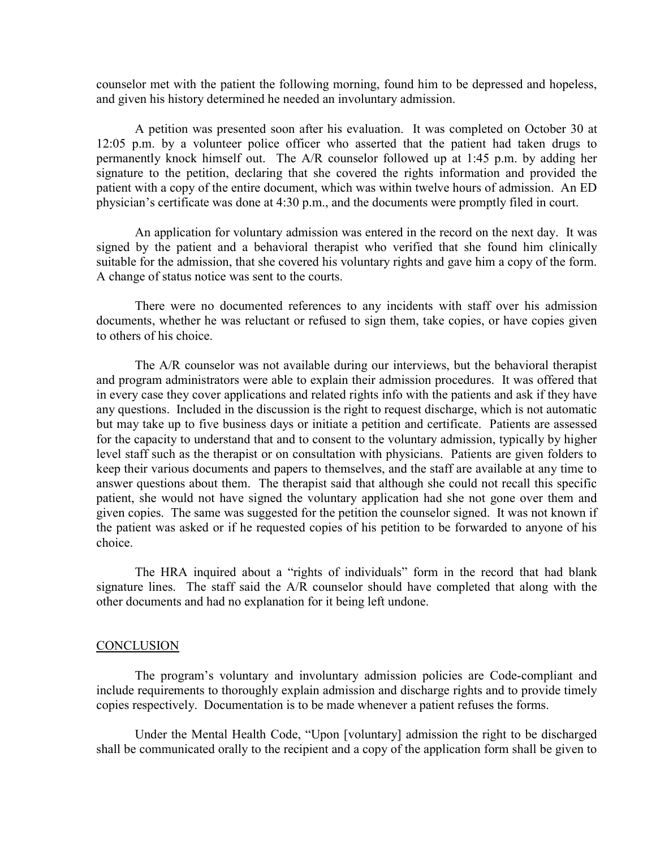counselor met with the patient the following morning, found him to be depressed and hopeless, and given his history determined he needed an involuntary admission.

 A petition was presented soon after his evaluation. It was completed on October 30 at 12:05 p.m. by a volunteer police officer who asserted that the patient had taken drugs to permanently knock himself out. The A/R counselor followed up at 1:45 p.m. by adding her signature to the petition, declaring that she covered the rights information and provided the patient with a copy of the entire document, which was within twelve hours of admission. An ED physician's certificate was done at 4:30 p.m., and the documents were promptly filed in court.

 An application for voluntary admission was entered in the record on the next day. It was signed by the patient and a behavioral therapist who verified that she found him clinically suitable for the admission, that she covered his voluntary rights and gave him a copy of the form. A change of status notice was sent to the courts.

There were no documented references to any incidents with staff over his admission documents, whether he was reluctant or refused to sign them, take copies, or have copies given to others of his choice.

 The A/R counselor was not available during our interviews, but the behavioral therapist and program administrators were able to explain their admission procedures. It was offered that in every case they cover applications and related rights info with the patients and ask if they have any questions. Included in the discussion is the right to request discharge, which is not automatic but may take up to five business days or initiate a petition and certificate. Patients are assessed for the capacity to understand that and to consent to the voluntary admission, typically by higher level staff such as the therapist or on consultation with physicians. Patients are given folders to keep their various documents and papers to themselves, and the staff are available at any time to answer questions about them. The therapist said that although she could not recall this specific patient, she would not have signed the voluntary application had she not gone over them and given copies. The same was suggested for the petition the counselor signed. It was not known if the patient was asked or if he requested copies of his petition to be forwarded to anyone of his choice.

 The HRA inquired about a "rights of individuals" form in the record that had blank signature lines. The staff said the A/R counselor should have completed that along with the other documents and had no explanation for it being left undone.

#### **CONCLUSION**

 The program's voluntary and involuntary admission policies are Code-compliant and include requirements to thoroughly explain admission and discharge rights and to provide timely copies respectively. Documentation is to be made whenever a patient refuses the forms.

 Under the Mental Health Code, "Upon [voluntary] admission the right to be discharged shall be communicated orally to the recipient and a copy of the application form shall be given to